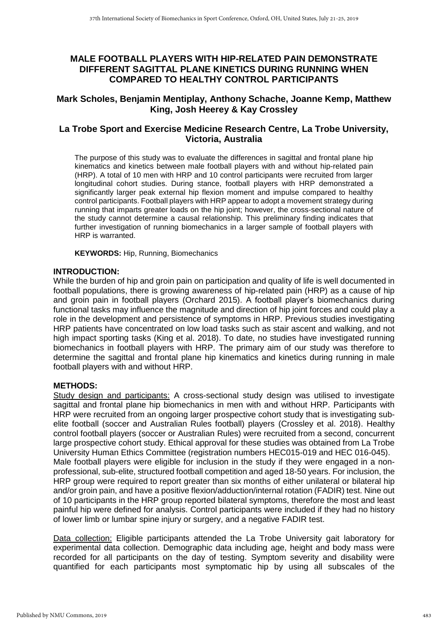# **MALE FOOTBALL PLAYERS WITH HIP-RELATED PAIN DEMONSTRATE DIFFERENT SAGITTAL PLANE KINETICS DURING RUNNING WHEN COMPARED TO HEALTHY CONTROL PARTICIPANTS**

## **Mark Scholes, Benjamin Mentiplay, Anthony Schache, Joanne Kemp, Matthew King, Josh Heerey & Kay Crossley**

# **La Trobe Sport and Exercise Medicine Research Centre, La Trobe University, Victoria, Australia**

The purpose of this study was to evaluate the differences in sagittal and frontal plane hip kinematics and kinetics between male football players with and without hip-related pain (HRP). A total of 10 men with HRP and 10 control participants were recruited from larger longitudinal cohort studies. During stance, football players with HRP demonstrated a significantly larger peak external hip flexion moment and impulse compared to healthy control participants. Football players with HRP appear to adopt a movement strategy during running that imparts greater loads on the hip joint; however, the cross-sectional nature of the study cannot determine a causal relationship. This preliminary finding indicates that further investigation of running biomechanics in a larger sample of football players with HRP is warranted.

**KEYWORDS:** Hip, Running, Biomechanics

## **INTRODUCTION:**

While the burden of hip and groin pain on participation and quality of life is well documented in football populations, there is growing awareness of hip-related pain (HRP) as a cause of hip and groin pain in football players (Orchard 2015). A football player's biomechanics during functional tasks may influence the magnitude and direction of hip joint forces and could play a role in the development and persistence of symptoms in HRP. Previous studies investigating HRP patients have concentrated on low load tasks such as stair ascent and walking, and not high impact sporting tasks (King et al. 2018). To date, no studies have investigated running biomechanics in football players with HRP. The primary aim of our study was therefore to determine the sagittal and frontal plane hip kinematics and kinetics during running in male football players with and without HRP.

## **METHODS:**

Study design and participants: A cross-sectional study design was utilised to investigate sagittal and frontal plane hip biomechanics in men with and without HRP. Participants with HRP were recruited from an ongoing larger prospective cohort study that is investigating subelite football (soccer and Australian Rules football) players (Crossley et al. 2018). Healthy control football players (soccer or Australian Rules) were recruited from a second, concurrent large prospective cohort study. Ethical approval for these studies was obtained from La Trobe University Human Ethics Committee (registration numbers HEC015-019 and HEC 016-045). Male football players were eligible for inclusion in the study if they were engaged in a nonprofessional, sub-elite, structured football competition and aged 18-50 years. For inclusion, the HRP group were required to report greater than six months of either unilateral or bilateral hip and/or groin pain, and have a positive flexion/adduction/internal rotation (FADIR) test. Nine out of 10 participants in the HRP group reported bilateral symptoms, therefore the most and least painful hip were defined for analysis. Control participants were included if they had no history of lower limb or lumbar spine injury or surgery, and a negative FADIR test.

Data collection: Eligible participants attended the La Trobe University gait laboratory for experimental data collection. Demographic data including age, height and body mass were recorded for all participants on the day of testing. Symptom severity and disability were quantified for each participants most symptomatic hip by using all subscales of the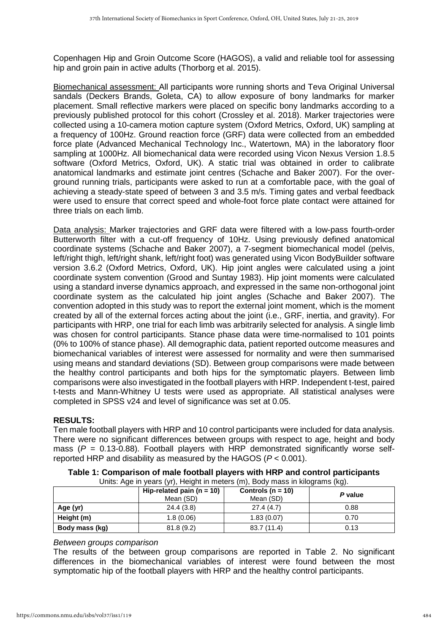Copenhagen Hip and Groin Outcome Score (HAGOS), a valid and reliable tool for assessing hip and groin pain in active adults (Thorborg et al. 2015).

Biomechanical assessment: All participants wore running shorts and Teva Original Universal sandals (Deckers Brands, Goleta, CA) to allow exposure of bony landmarks for marker placement. Small reflective markers were placed on specific bony landmarks according to a previously published protocol for this cohort (Crossley et al. 2018). Marker trajectories were collected using a 10-camera motion capture system (Oxford Metrics, Oxford, UK) sampling at a frequency of 100Hz. Ground reaction force (GRF) data were collected from an embedded force plate (Advanced Mechanical Technology Inc., Watertown, MA) in the laboratory floor sampling at 1000Hz. All biomechanical data were recorded using Vicon Nexus Version 1.8.5 software (Oxford Metrics, Oxford, UK). A static trial was obtained in order to calibrate anatomical landmarks and estimate joint centres (Schache and Baker 2007). For the overground running trials, participants were asked to run at a comfortable pace, with the goal of achieving a steady-state speed of between 3 and 3.5 m/s. Timing gates and verbal feedback were used to ensure that correct speed and whole-foot force plate contact were attained for three trials on each limb.

Data analysis: Marker trajectories and GRF data were filtered with a low-pass fourth-order Butterworth filter with a cut-off frequency of 10Hz. Using previously defined anatomical coordinate systems (Schache and Baker 2007), a 7-segment biomechanical model (pelvis, left/right thigh, left/right shank, left/right foot) was generated using Vicon BodyBuilder software version 3.6.2 (Oxford Metrics, Oxford, UK). Hip joint angles were calculated using a joint coordinate system convention (Grood and Suntay 1983). Hip joint moments were calculated using a standard inverse dynamics approach, and expressed in the same non-orthogonal joint coordinate system as the calculated hip joint angles (Schache and Baker 2007). The convention adopted in this study was to report the external joint moment, which is the moment created by all of the external forces acting about the joint (i.e., GRF, inertia, and gravity). For participants with HRP, one trial for each limb was arbitrarily selected for analysis. A single limb was chosen for control participants. Stance phase data were time-normalised to 101 points (0% to 100% of stance phase). All demographic data, patient reported outcome measures and biomechanical variables of interest were assessed for normality and were then summarised using means and standard deviations (SD). Between group comparisons were made between the healthy control participants and both hips for the symptomatic players. Between limb comparisons were also investigated in the football players with HRP. Independent t-test, paired t-tests and Mann-Whitney U tests were used as appropriate. All statistical analyses were completed in SPSS v24 and level of significance was set at 0.05.

# **RESULTS:**

Ten male football players with HRP and 10 control participants were included for data analysis. There were no significant differences between groups with respect to age, height and body mass  $(P = 0.13 - 0.88)$ . Football players with HRP demonstrated significantly worse selfreported HRP and disability as measured by the HAGOS (*P* < 0.001).

|                | Hip-related pain ( $n = 10$ )<br>Mean (SD) | Controls ( $n = 10$ )<br>Mean (SD) | P value |
|----------------|--------------------------------------------|------------------------------------|---------|
| Age (yr)       | 24.4(3.8)                                  | 27.4(4.7)                          | 0.88    |
| Height (m)     | 1.8(0.06)                                  | 1.83(0.07)                         | 0.70    |
| Body mass (kg) | 81.8(9.2)                                  | 83.7 (11.4)                        | 0.13    |

#### **Table 1: Comparison of male football players with HRP and control participants** Units: Age in years (yr), Height in meters (m), Body mass in kilogram

## *Between groups comparison*

The results of the between group comparisons are reported in Table 2. No significant differences in the biomechanical variables of interest were found between the most symptomatic hip of the football players with HRP and the healthy control participants.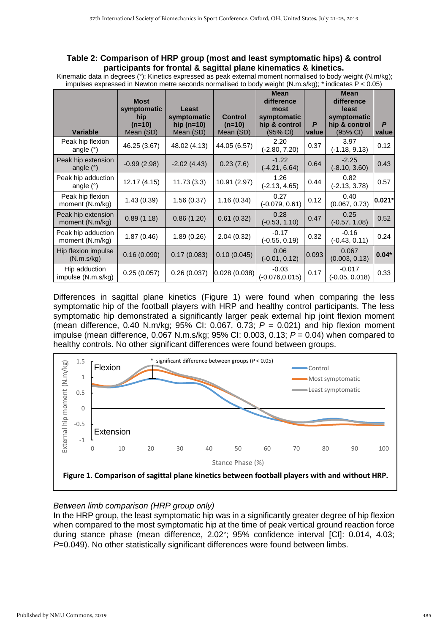#### **Table 2: Comparison of HRP group (most and least symptomatic hips) & control participants for frontal & sagittal plane kinematics & kinetics.**

Kinematic data in degrees (°); Kinetics expressed as peak external moment normalised to body weight (N.m/kg); impulses expressed in Newton metre seconds normalised to body weight (N.m.s/kg); \* indicates P < 0.05)

| <b>Variable</b>                       | <b>Most</b><br>symptomatic<br>hip<br>$(n=10)$<br>Mean (SD) | Least<br>symptomatic<br>hip $(n=10)$<br>Mean (SD) | <b>Control</b><br>$(n=10)$<br>Mean (SD) | <b>Mean</b><br>difference<br>most<br>symptomatic<br>hip & control<br>$(95% \text{ Cl})$ | P<br>value | <b>Mean</b><br>difference<br>least<br>symptomatic<br>hip & control<br>(95% CI) | P<br>value |
|---------------------------------------|------------------------------------------------------------|---------------------------------------------------|-----------------------------------------|-----------------------------------------------------------------------------------------|------------|--------------------------------------------------------------------------------|------------|
| Peak hip flexion<br>angle $(°)$       | 46.25 (3.67)                                               | 48.02 (4.13)                                      | 44.05 (6.57)                            | 2.20<br>$(-2.80, 7.20)$                                                                 | 0.37       | 3.97<br>$(-1.18, 9.13)$                                                        | 0.12       |
| Peak hip extension<br>angle $(°)$     | $-0.99(2.98)$                                              | $-2.02(4.43)$                                     | 0.23(7.6)                               | $-1.22$<br>$(-4.21, 6.64)$                                                              | 0.64       | $-2.25$<br>$(-8.10, 3.60)$                                                     | 0.43       |
| Peak hip adduction<br>angle $(°)$     | 12.17(4.15)                                                | 11.73(3.3)                                        | 10.91 (2.97)                            | 1.26<br>$(-2.13, 4.65)$                                                                 | 0.44       | 0.82<br>$(-2.13, 3.78)$                                                        | 0.57       |
| Peak hip flexion<br>moment (N.m/kg)   | 1.43(0.39)                                                 | 1.56(0.37)                                        | 1.16(0.34)                              | 0.27<br>$(-0.079, 0.61)$                                                                | 0.12       | 0.40<br>(0.067, 0.73)                                                          | $0.021*$   |
| Peak hip extension<br>moment (N.m/kg) | 0.89(1.18)                                                 | 0.86(1.20)                                        | 0.61(0.32)                              | 0.28<br>$(-0.53, 1.10)$                                                                 | 0.47       | 0.25<br>$(-0.57, 1.08)$                                                        | 0.52       |
| Peak hip adduction<br>moment (N.m/kg) | 1.87(0.46)                                                 | 1.89(0.26)                                        | 2.04(0.32)                              | $-0.17$<br>$(-0.55, 0.19)$                                                              | 0.32       | $-0.16$<br>$(-0.43, 0.11)$                                                     | 0.24       |
| Hip flexion impulse<br>(N.m.s/kg)     | 0.16(0.090)                                                | 0.17(0.083)                                       | 0.10(0.045)                             | 0.06<br>$(-0.01, 0.12)$                                                                 | 0.093      | 0.067<br>(0.003, 0.13)                                                         | $0.04*$    |
| Hip adduction<br>impulse (N.m.s/kg)   | 0.25(0.057)                                                | 0.26(0.037)                                       | 0.028(0.038)                            | $-0.03$<br>$(-0.076, 0.015)$                                                            | 0.17       | $-0.017$<br>$(-0.05, 0.018)$                                                   | 0.33       |

Differences in sagittal plane kinetics (Figure 1) were found when comparing the less symptomatic hip of the football players with HRP and healthy control participants. The less symptomatic hip demonstrated a significantly larger peak external hip joint flexion moment (mean difference, 0.40 N.m/kg; 95% CI: 0.067, 0.73; *P* = 0.021) and hip flexion moment impulse (mean difference, 0.067 N.m.s/kg; 95% CI: 0.003, 0.13; *P* = 0.04) when compared to healthy controls. No other significant differences were found between groups.



## *Between limb comparison (HRP group only)*

In the HRP group, the least symptomatic hip was in a significantly greater degree of hip flexion when compared to the most symptomatic hip at the time of peak vertical ground reaction force during stance phase (mean difference, 2.02°; 95% confidence interval [CI]: 0.014, 4.03; *P=*0.049). No other statistically significant differences were found between limbs.